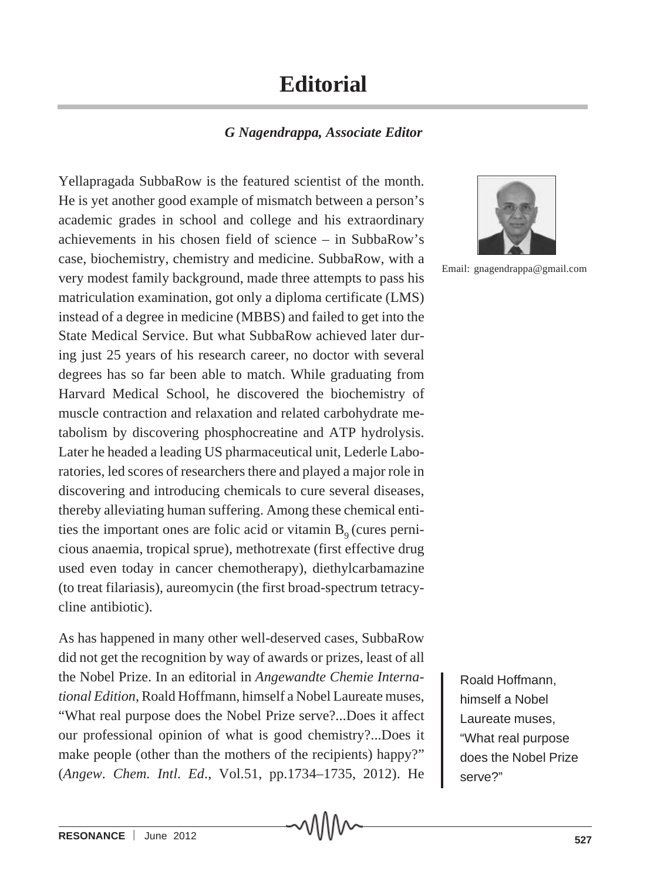## **Editorial**

## *G Nagendrappa, Associate Editor*

Yellapragada SubbaRow is the featured scientist of the month. He is yet another good example of mismatch between a person's academic grades in school and college and his extraordinary achievements in his chosen field of science – in SubbaRow's case, biochemistry, chemistry and medicine. SubbaRow, with a very modest family background, made three attempts to pass his matriculation examination, got only a diploma certificate (LMS) instead of a degree in medicine (MBBS) and failed to get into the State Medical Service. But what SubbaRow achieved later during just 25 years of his research career, no doctor with several degrees has so far been able to match. While graduating from Harvard Medical School, he discovered the biochemistry of muscle contraction and relaxation and related carbohydrate metabolism by discovering phosphocreatine and ATP hydrolysis. Later he headed a leading US pharmaceutical unit, Lederle Laboratories, led scores of researchers there and played a major role in discovering and introducing chemicals to cure several diseases, thereby alleviating human suffering. Among these chemical entities the important ones are folic acid or vitamin  $B<sub>0</sub>$  (cures pernicious anaemia, tropical sprue), methotrexate (first effective drug used even today in cancer chemotherapy), diethylcarbamazine (to treat filariasis), aureomycin (the first broad-spectrum tetracycline antibiotic).

As has happened in many other well-deserved cases, SubbaRow did not get the recognition by way of awards or prizes, least of all the Nobel Prize. In an editorial in *Angewandte Chemie International Edition*, Roald Hoffmann, himself a Nobel Laureate muses, "What real purpose does the Nobel Prize serve?...Does it affect our professional opinion of what is good chemistry?...Does it make people (other than the mothers of the recipients) happy?" (*Angew. Chem. Intl. Ed*., Vol.51, pp.1734–1735, 2012). He



Email: gnagendrappa@gmail.com

Roald Hoffmann, himself a Nobel Laureate muses, "What real purpose does the Nobel Prize serve?"